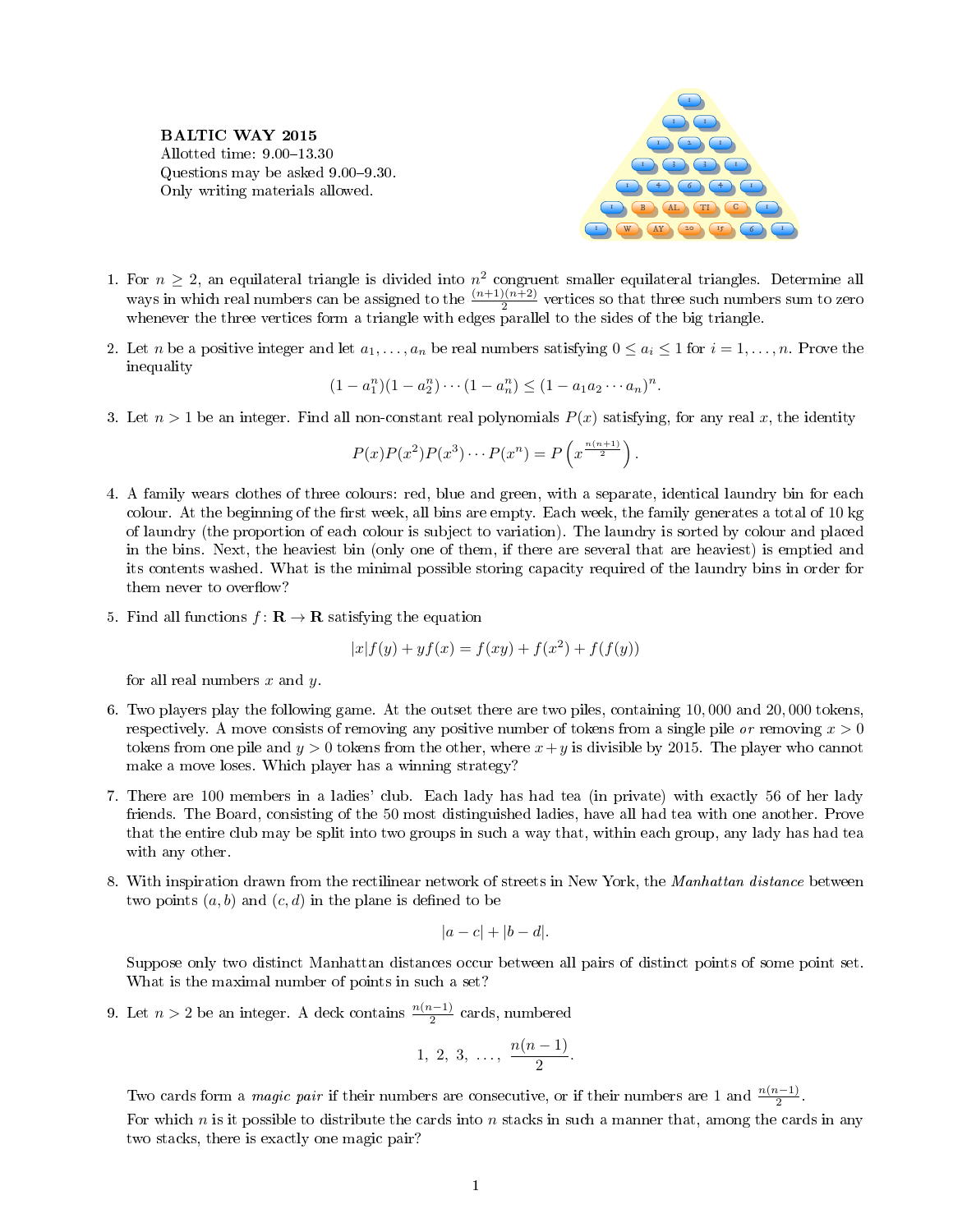BALTIC WAY 2015 Allotted time:  $9.00-13.30$ Questions may be asked 9.00–9.30. Only writing materials allowed.



- 1. For  $n \geq 2$ , an equilateral triangle is divided into  $n^2$  congruent smaller equilateral triangles. Determine all ways in which real numbers can be assigned to the  $\frac{(n+1)(n+2)}{2}$  vertices so that three such numbers sum to zero whenever the three vertices form a triangle with edges parallel to the sides of the big triangle.
- 2. Let *n* be a positive integer and let  $a_1, \ldots, a_n$  be real numbers satisfying  $0 \le a_i \le 1$  for  $i = 1, \ldots, n$ . Prove the inequality

$$
(1 - a_1^n)(1 - a_2^n) \cdots (1 - a_n^n) \le (1 - a_1 a_2 \cdots a_n)^n.
$$

3. Let  $n > 1$  be an integer. Find all non-constant real polynomials  $P(x)$  satisfying, for any real x, the identity

$$
P(x)P(x^2)P(x^3)\cdots P(x^n) = P\left(x^{\frac{n(n+1)}{2}}\right).
$$

- 4. A family wears clothes of three colours: red, blue and green, with a separate, identical laundry bin for each colour. At the beginning of the first week, all bins are empty. Each week, the family generates a total of 10 kg of laundry (the proportion of each colour is subject to variation). The laundry is sorted by colour and placed in the bins. Next, the heaviest bin (only one of them, if there are several that are heaviest) is emptied and its contents washed. What is the minimal possible storing capacity required of the laundry bins in order for them never to overflow?
- 5. Find all functions  $f: \mathbf{R} \to \mathbf{R}$  satisfying the equation

$$
|x|f(y) + yf(x) = f(xy) + f(x^{2}) + f(f(y))
$$

for all real numbers  $x$  and  $y$ .

- 6. Two players play the following game. At the outset there are two piles, containing 10, 000 and 20, 000 tokens, respectively. A move consists of removing any positive number of tokens from a single pile or removing  $x > 0$ tokens from one pile and  $y > 0$  tokens from the other, where  $x + y$  is divisible by 2015. The player who cannot make a move loses. Which player has a winning strategy?
- 7. There are 100 members in a ladies' club. Each lady has had tea (in private) with exactly 56 of her lady friends. The Board, consisting of the 50 most distinguished ladies, have all had tea with one another. Prove that the entire club may be split into two groups in such a way that, within each group, any lady has had tea with any other.
- 8. With inspiration drawn from the rectilinear network of streets in New York, the Manhattan distance between two points  $(a, b)$  and  $(c, d)$  in the plane is defined to be

$$
|a-c|+|b-d|.
$$

Suppose only two distinct Manhattan distances occur between all pairs of distinct points of some point set. What is the maximal number of points in such a set?

9. Let  $n > 2$  be an integer. A deck contains  $\frac{n(n-1)}{2}$  cards, numbered

$$
1, 2, 3, \ldots, \frac{n(n-1)}{2}.
$$

Two cards form a *magic pair* if their numbers are consecutive, or if their numbers are 1 and  $\frac{n(n-1)}{2}$ . For which n is it possible to distribute the cards into n stacks in such a manner that, among the cards in any two stacks, there is exactly one magic pair?